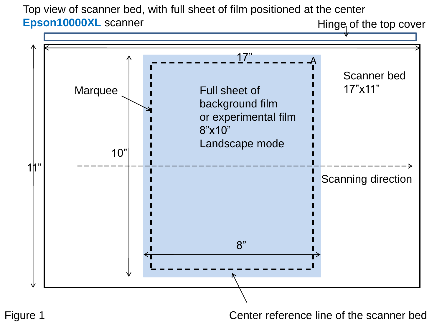Top view of scanner bed, with full sheet of film positioned at the center **Epson10000XL** scanner





Figure 1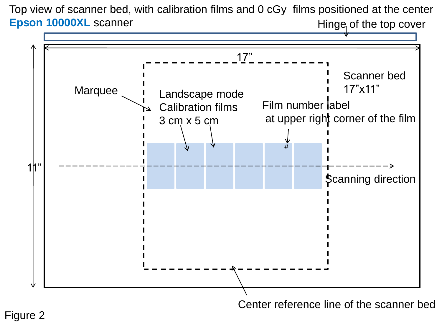Top view of scanner bed, with calibration films and 0 cGy films positioned at the center **Epson 10000XL** scanner Hinge of the top cover



Center reference line of the scanner bed

Figure 2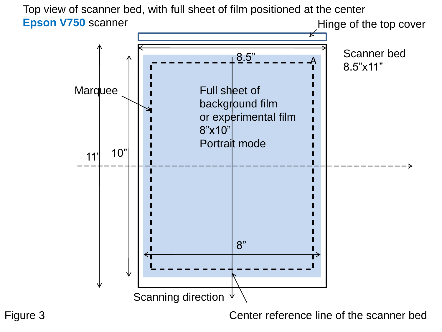Top view of scanner bed, with full sheet of film positioned at the center **Epson V750** scanner Hinge of the top cover



Figure 3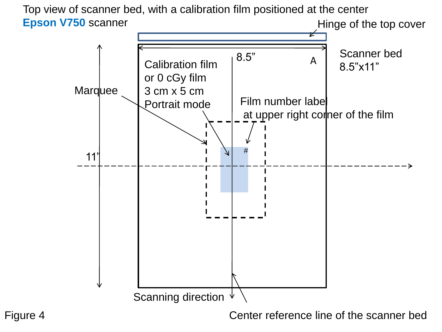

Figure 4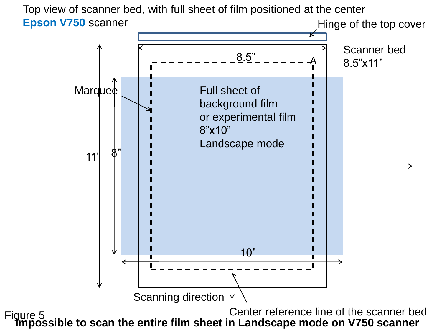Top view of scanner bed, with full sheet of film positioned at the center **Epson V750** scanner Hinge of the top cover